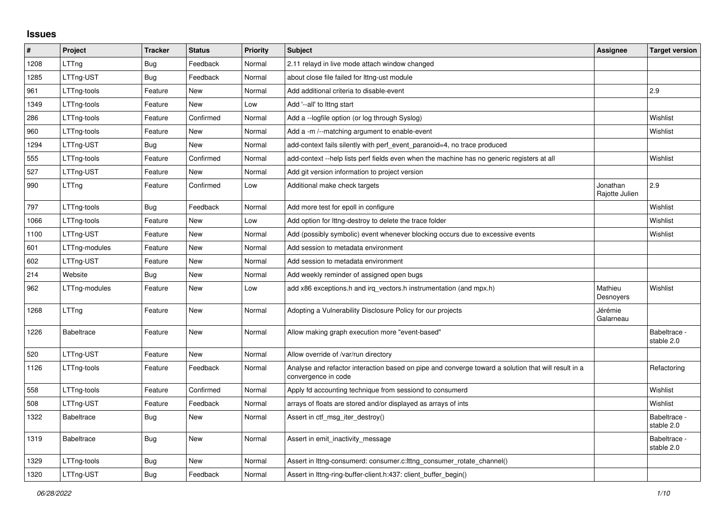## **Issues**

| #    | Project           | <b>Tracker</b> | <b>Status</b> | Priority | <b>Subject</b>                                                                                                             | Assignee                   | <b>Target version</b>      |
|------|-------------------|----------------|---------------|----------|----------------------------------------------------------------------------------------------------------------------------|----------------------------|----------------------------|
| 1208 | LTTng             | <b>Bug</b>     | Feedback      | Normal   | 2.11 relayd in live mode attach window changed                                                                             |                            |                            |
| 1285 | LTTng-UST         | <b>Bug</b>     | Feedback      | Normal   | about close file failed for lttng-ust module                                                                               |                            |                            |
| 961  | LTTng-tools       | Feature        | <b>New</b>    | Normal   | Add additional criteria to disable-event                                                                                   |                            | 2.9                        |
| 1349 | LTTng-tools       | Feature        | New           | Low      | Add '--all' to lttng start                                                                                                 |                            |                            |
| 286  | LTTng-tools       | Feature        | Confirmed     | Normal   | Add a --logfile option (or log through Syslog)                                                                             |                            | Wishlist                   |
| 960  | LTTng-tools       | Feature        | New           | Normal   | Add a -m /--matching argument to enable-event                                                                              |                            | Wishlist                   |
| 1294 | LTTng-UST         | <b>Bug</b>     | New           | Normal   | add-context fails silently with perf event paranoid=4, no trace produced                                                   |                            |                            |
| 555  | LTTng-tools       | Feature        | Confirmed     | Normal   | add-context --help lists perf fields even when the machine has no generic registers at all                                 |                            | Wishlist                   |
| 527  | LTTng-UST         | Feature        | New           | Normal   | Add git version information to project version                                                                             |                            |                            |
| 990  | LTTng             | Feature        | Confirmed     | Low      | Additional make check targets                                                                                              | Jonathan<br>Rajotte Julien | 2.9                        |
| 797  | LTTng-tools       | Bug            | Feedback      | Normal   | Add more test for epoll in configure                                                                                       |                            | Wishlist                   |
| 1066 | LTTng-tools       | Feature        | <b>New</b>    | Low      | Add option for Ittng-destroy to delete the trace folder                                                                    |                            | Wishlist                   |
| 1100 | LTTng-UST         | Feature        | New           | Normal   | Add (possibly symbolic) event whenever blocking occurs due to excessive events                                             |                            | Wishlist                   |
| 601  | LTTng-modules     | Feature        | New           | Normal   | Add session to metadata environment                                                                                        |                            |                            |
| 602  | LTTng-UST         | Feature        | <b>New</b>    | Normal   | Add session to metadata environment                                                                                        |                            |                            |
| 214  | Website           | Bug            | New           | Normal   | Add weekly reminder of assigned open bugs                                                                                  |                            |                            |
| 962  | LTTng-modules     | Feature        | New           | Low      | add x86 exceptions.h and irq_vectors.h instrumentation (and mpx.h)                                                         | Mathieu<br>Desnoyers       | Wishlist                   |
| 1268 | LTTng             | Feature        | New           | Normal   | Adopting a Vulnerability Disclosure Policy for our projects                                                                | Jérémie<br>Galarneau       |                            |
| 1226 | <b>Babeltrace</b> | Feature        | <b>New</b>    | Normal   | Allow making graph execution more "event-based"                                                                            |                            | Babeltrace -<br>stable 2.0 |
| 520  | LTTng-UST         | Feature        | New           | Normal   | Allow override of /var/run directory                                                                                       |                            |                            |
| 1126 | LTTng-tools       | Feature        | Feedback      | Normal   | Analyse and refactor interaction based on pipe and converge toward a solution that will result in a<br>convergence in code |                            | Refactoring                |
| 558  | LTTng-tools       | Feature        | Confirmed     | Normal   | Apply fd accounting technique from sessiond to consumerd                                                                   |                            | Wishlist                   |
| 508  | LTTng-UST         | Feature        | Feedback      | Normal   | arrays of floats are stored and/or displayed as arrays of ints                                                             |                            | Wishlist                   |
| 1322 | <b>Babeltrace</b> | Bug            | New           | Normal   | Assert in ctf_msg_iter_destroy()                                                                                           |                            | Babeltrace -<br>stable 2.0 |
| 1319 | <b>Babeltrace</b> | <b>Bug</b>     | New           | Normal   | Assert in emit_inactivity_message                                                                                          |                            | Babeltrace -<br>stable 2.0 |
| 1329 | LTTng-tools       | <b>Bug</b>     | New           | Normal   | Assert in lttng-consumerd: consumer.c: lttng consumer rotate channel()                                                     |                            |                            |
| 1320 | LTTng-UST         | Bug            | Feedback      | Normal   | Assert in Ittng-ring-buffer-client.h:437: client buffer begin()                                                            |                            |                            |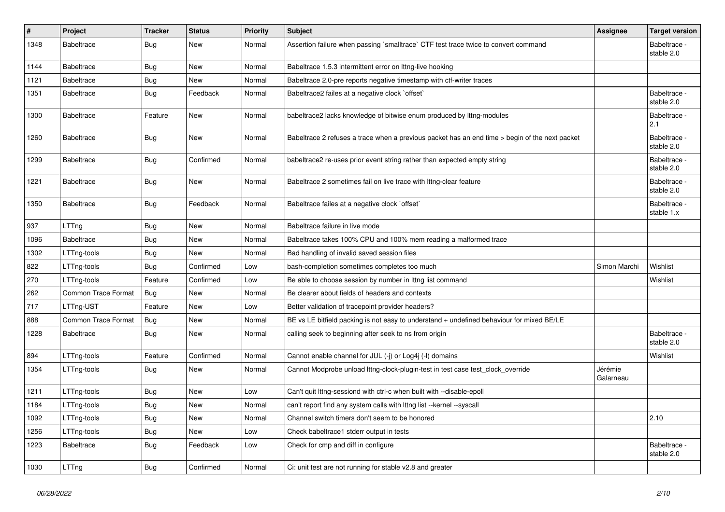| $\pmb{\#}$ | Project                    | <b>Tracker</b> | <b>Status</b> | <b>Priority</b> | <b>Subject</b>                                                                                 | <b>Assignee</b>      | <b>Target version</b>      |
|------------|----------------------------|----------------|---------------|-----------------|------------------------------------------------------------------------------------------------|----------------------|----------------------------|
| 1348       | <b>Babeltrace</b>          | Bug            | New           | Normal          | Assertion failure when passing `smalltrace` CTF test trace twice to convert command            |                      | Babeltrace -<br>stable 2.0 |
| 1144       | <b>Babeltrace</b>          | Bug            | <b>New</b>    | Normal          | Babeltrace 1.5.3 intermittent error on Ittng-live hooking                                      |                      |                            |
| 1121       | <b>Babeltrace</b>          | <b>Bug</b>     | New           | Normal          | Babeltrace 2.0-pre reports negative timestamp with ctf-writer traces                           |                      |                            |
| 1351       | <b>Babeltrace</b>          | <b>Bug</b>     | Feedback      | Normal          | Babeltrace2 failes at a negative clock `offset`                                                |                      | Babeltrace -<br>stable 2.0 |
| 1300       | Babeltrace                 | Feature        | New           | Normal          | babeltrace2 lacks knowledge of bitwise enum produced by lttng-modules                          |                      | Babeltrace -<br>2.1        |
| 1260       | <b>Babeltrace</b>          | <b>Bug</b>     | <b>New</b>    | Normal          | Babeltrace 2 refuses a trace when a previous packet has an end time > begin of the next packet |                      | Babeltrace -<br>stable 2.0 |
| 1299       | <b>Babeltrace</b>          | <b>Bug</b>     | Confirmed     | Normal          | babeltrace2 re-uses prior event string rather than expected empty string                       |                      | Babeltrace -<br>stable 2.0 |
| 1221       | <b>Babeltrace</b>          | <b>Bug</b>     | New           | Normal          | Babeltrace 2 sometimes fail on live trace with Ittng-clear feature                             |                      | Babeltrace -<br>stable 2.0 |
| 1350       | <b>Babeltrace</b>          | <b>Bug</b>     | Feedback      | Normal          | Babeltrace failes at a negative clock `offset`                                                 |                      | Babeltrace -<br>stable 1.x |
| 937        | LTTng                      | <b>Bug</b>     | <b>New</b>    | Normal          | Babeltrace failure in live mode                                                                |                      |                            |
| 1096       | <b>Babeltrace</b>          | <b>Bug</b>     | New           | Normal          | Babeltrace takes 100% CPU and 100% mem reading a malformed trace                               |                      |                            |
| 1302       | LTTng-tools                | <b>Bug</b>     | New           | Normal          | Bad handling of invalid saved session files                                                    |                      |                            |
| 822        | LTTng-tools                | <b>Bug</b>     | Confirmed     | Low             | bash-completion sometimes completes too much                                                   | Simon Marchi         | Wishlist                   |
| 270        | LTTng-tools                | Feature        | Confirmed     | Low             | Be able to choose session by number in Ittng list command                                      |                      | Wishlist                   |
| 262        | <b>Common Trace Format</b> | Bug            | New           | Normal          | Be clearer about fields of headers and contexts                                                |                      |                            |
| 717        | LTTng-UST                  | Feature        | New           | Low             | Better validation of tracepoint provider headers?                                              |                      |                            |
| 888        | <b>Common Trace Format</b> | Bug            | New           | Normal          | BE vs LE bitfield packing is not easy to understand + undefined behaviour for mixed BE/LE      |                      |                            |
| 1228       | Babeltrace                 | <b>Bug</b>     | New           | Normal          | calling seek to beginning after seek to ns from origin                                         |                      | Babeltrace -<br>stable 2.0 |
| 894        | LTTng-tools                | Feature        | Confirmed     | Normal          | Cannot enable channel for JUL (-j) or Log4j (-l) domains                                       |                      | Wishlist                   |
| 1354       | LTTng-tools                | Bug            | New           | Normal          | Cannot Modprobe unload lttng-clock-plugin-test in test case test clock override                | Jérémie<br>Galarneau |                            |
| 1211       | LTTng-tools                | Bug            | New           | Low             | Can't quit lttng-sessiond with ctrl-c when built with --disable-epoll                          |                      |                            |
| 1184       | LTTng-tools                | <b>Bug</b>     | New           | Normal          | can't report find any system calls with lttng list --kernel --syscall                          |                      |                            |
| 1092       | LTTng-tools                | <b>Bug</b>     | New           | Normal          | Channel switch timers don't seem to be honored                                                 |                      | 2.10                       |
| 1256       | LTTng-tools                | <b>Bug</b>     | New           | Low             | Check babeltrace1 stderr output in tests                                                       |                      |                            |
| 1223       | <b>Babeltrace</b>          | <b>Bug</b>     | Feedback      | Low             | Check for cmp and diff in configure                                                            |                      | Babeltrace -<br>stable 2.0 |
| 1030       | LTTng                      | Bug            | Confirmed     | Normal          | Ci: unit test are not running for stable v2.8 and greater                                      |                      |                            |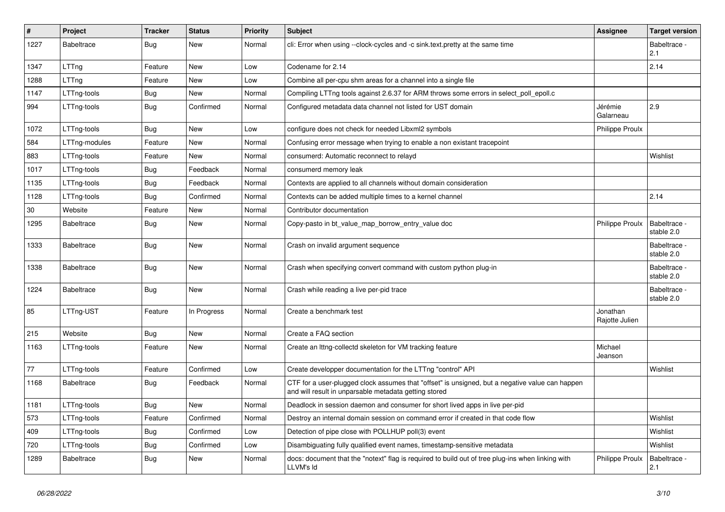| #      | Project           | <b>Tracker</b> | <b>Status</b> | <b>Priority</b> | <b>Subject</b>                                                                                                                                           | Assignee                   | <b>Target version</b>      |
|--------|-------------------|----------------|---------------|-----------------|----------------------------------------------------------------------------------------------------------------------------------------------------------|----------------------------|----------------------------|
| 1227   | <b>Babeltrace</b> | Bug            | New           | Normal          | cli: Error when using --clock-cycles and -c sink.text.pretty at the same time                                                                            |                            | Babeltrace -<br>2.1        |
| 1347   | LTTng             | Feature        | New           | Low             | Codename for 2.14                                                                                                                                        |                            | 2.14                       |
| 1288   | LTTng             | Feature        | New           | Low             | Combine all per-cpu shm areas for a channel into a single file                                                                                           |                            |                            |
| 1147   | LTTng-tools       | Bug            | New           | Normal          | Compiling LTTng tools against 2.6.37 for ARM throws some errors in select_poll_epoll.c                                                                   |                            |                            |
| 994    | LTTng-tools       | Bug            | Confirmed     | Normal          | Configured metadata data channel not listed for UST domain                                                                                               | Jérémie<br>Galarneau       | 2.9                        |
| 1072   | LTTng-tools       | Bug            | New           | Low             | configure does not check for needed Libxml2 symbols                                                                                                      | Philippe Proulx            |                            |
| 584    | LTTng-modules     | Feature        | New           | Normal          | Confusing error message when trying to enable a non existant tracepoint                                                                                  |                            |                            |
| 883    | LTTng-tools       | Feature        | New           | Normal          | consumerd: Automatic reconnect to relayd                                                                                                                 |                            | Wishlist                   |
| 1017   | LTTng-tools       | <b>Bug</b>     | Feedback      | Normal          | consumerd memory leak                                                                                                                                    |                            |                            |
| 1135   | LTTng-tools       | Bug            | Feedback      | Normal          | Contexts are applied to all channels without domain consideration                                                                                        |                            |                            |
| 1128   | LTTng-tools       | Bug            | Confirmed     | Normal          | Contexts can be added multiple times to a kernel channel                                                                                                 |                            | 2.14                       |
| $30\,$ | Website           | Feature        | New           | Normal          | Contributor documentation                                                                                                                                |                            |                            |
| 1295   | <b>Babeltrace</b> | <b>Bug</b>     | New           | Normal          | Copy-pasto in bt_value_map_borrow_entry_value doc                                                                                                        | <b>Philippe Proulx</b>     | Babeltrace -<br>stable 2.0 |
| 1333   | <b>Babeltrace</b> | Bug            | New           | Normal          | Crash on invalid argument sequence                                                                                                                       |                            | Babeltrace -<br>stable 2.0 |
| 1338   | <b>Babeltrace</b> | Bug            | New           | Normal          | Crash when specifying convert command with custom python plug-in                                                                                         |                            | Babeltrace -<br>stable 2.0 |
| 1224   | <b>Babeltrace</b> | Bug            | New           | Normal          | Crash while reading a live per-pid trace                                                                                                                 |                            | Babeltrace -<br>stable 2.0 |
| 85     | LTTng-UST         | Feature        | In Progress   | Normal          | Create a benchmark test                                                                                                                                  | Jonathan<br>Rajotte Julien |                            |
| 215    | Website           | Bug            | New           | Normal          | Create a FAQ section                                                                                                                                     |                            |                            |
| 1163   | LTTng-tools       | Feature        | New           | Normal          | Create an Ittng-collectd skeleton for VM tracking feature                                                                                                | Michael<br>Jeanson         |                            |
| 77     | LTTng-tools       | Feature        | Confirmed     | Low             | Create developper documentation for the LTTng "control" API                                                                                              |                            | Wishlist                   |
| 1168   | <b>Babeltrace</b> | Bug            | Feedback      | Normal          | CTF for a user-plugged clock assumes that "offset" is unsigned, but a negative value can happen<br>and will result in unparsable metadata getting stored |                            |                            |
| 1181   | LTTng-tools       | Bug            | New           | Normal          | Deadlock in session daemon and consumer for short lived apps in live per-pid                                                                             |                            |                            |
| 573    | LTTng-tools       | Feature        | Confirmed     | Normal          | Destroy an internal domain session on command error if created in that code flow                                                                         |                            | Wishlist                   |
| 409    | LTTng-tools       | <b>Bug</b>     | Confirmed     | Low             | Detection of pipe close with POLLHUP poll(3) event                                                                                                       |                            | Wishlist                   |
| 720    | LTTng-tools       | <b>Bug</b>     | Confirmed     | Low             | Disambiguating fully qualified event names, timestamp-sensitive metadata                                                                                 |                            | Wishlist                   |
| 1289   | Babeltrace        | <b>Bug</b>     | New           | Normal          | docs: document that the "notext" flag is required to build out of tree plug-ins when linking with<br>LLVM's Id                                           | <b>Philippe Proulx</b>     | Babeltrace -<br>2.1        |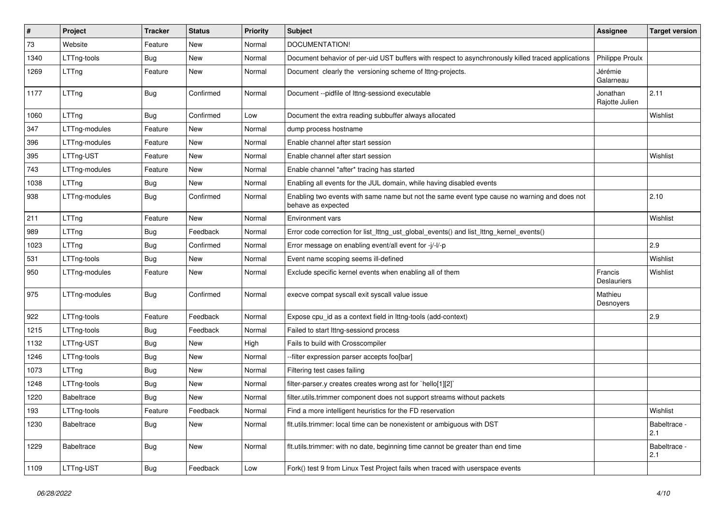| $\pmb{\#}$ | Project           | <b>Tracker</b> | <b>Status</b> | <b>Priority</b> | Subject                                                                                                            | Assignee                      | <b>Target version</b> |
|------------|-------------------|----------------|---------------|-----------------|--------------------------------------------------------------------------------------------------------------------|-------------------------------|-----------------------|
| 73         | Website           | Feature        | New           | Normal          | DOCUMENTATION!                                                                                                     |                               |                       |
| 1340       | LTTng-tools       | <b>Bug</b>     | New           | Normal          | Document behavior of per-uid UST buffers with respect to asynchronously killed traced applications                 | <b>Philippe Proulx</b>        |                       |
| 1269       | LTTng             | Feature        | New           | Normal          | Document clearly the versioning scheme of lttng-projects.                                                          | Jérémie<br>Galarneau          |                       |
| 1177       | LTTng             | Bug            | Confirmed     | Normal          | Document --pidfile of lttng-sessiond executable                                                                    | Jonathan<br>Rajotte Julien    | 2.11                  |
| 1060       | LTTng             | Bug            | Confirmed     | Low             | Document the extra reading subbuffer always allocated                                                              |                               | Wishlist              |
| 347        | LTTng-modules     | Feature        | New           | Normal          | dump process hostname                                                                                              |                               |                       |
| 396        | LTTng-modules     | Feature        | New           | Normal          | Enable channel after start session                                                                                 |                               |                       |
| 395        | LTTng-UST         | Feature        | New           | Normal          | Enable channel after start session                                                                                 |                               | Wishlist              |
| 743        | LTTng-modules     | Feature        | New           | Normal          | Enable channel *after* tracing has started                                                                         |                               |                       |
| 1038       | LTTng             | <b>Bug</b>     | New           | Normal          | Enabling all events for the JUL domain, while having disabled events                                               |                               |                       |
| 938        | LTTng-modules     | <b>Bug</b>     | Confirmed     | Normal          | Enabling two events with same name but not the same event type cause no warning and does not<br>behave as expected |                               | 2.10                  |
| 211        | LTTng             | Feature        | New           | Normal          | <b>Environment vars</b>                                                                                            |                               | Wishlist              |
| 989        | LTTng             | <b>Bug</b>     | Feedback      | Normal          | Error code correction for list_lttng_ust_global_events() and list_lttng_kernel_events()                            |                               |                       |
| 1023       | LTTng             | <b>Bug</b>     | Confirmed     | Normal          | Error message on enabling event/all event for -j/-l/-p                                                             |                               | 2.9                   |
| 531        | LTTng-tools       | Bug            | New           | Normal          | Event name scoping seems ill-defined                                                                               |                               | Wishlist              |
| 950        | LTTng-modules     | Feature        | New           | Normal          | Exclude specific kernel events when enabling all of them                                                           | Francis<br><b>Deslauriers</b> | Wishlist              |
| 975        | LTTng-modules     | <b>Bug</b>     | Confirmed     | Normal          | execve compat syscall exit syscall value issue                                                                     | Mathieu<br>Desnoyers          |                       |
| 922        | LTTng-tools       | Feature        | Feedback      | Normal          | Expose cpu_id as a context field in lttng-tools (add-context)                                                      |                               | 2.9                   |
| 1215       | LTTng-tools       | Bug            | Feedback      | Normal          | Failed to start lttng-sessiond process                                                                             |                               |                       |
| 1132       | LTTng-UST         | <b>Bug</b>     | New           | High            | Fails to build with Crosscompiler                                                                                  |                               |                       |
| 1246       | LTTng-tools       | Bug            | New           | Normal          | --filter expression parser accepts foo[bar]                                                                        |                               |                       |
| 1073       | LTTng             | <b>Bug</b>     | New           | Normal          | Filtering test cases failing                                                                                       |                               |                       |
| 1248       | LTTng-tools       | Bug            | New           | Normal          | filter-parser.y creates creates wrong ast for `hello[1][2]`                                                        |                               |                       |
| 1220       | <b>Babeltrace</b> | Bug            | New           | Normal          | filter.utils.trimmer component does not support streams without packets                                            |                               |                       |
| 193        | LTTng-tools       | Feature        | Feedback      | Normal          | Find a more intelligent heuristics for the FD reservation                                                          |                               | Wishlist              |
| 1230       | Babeltrace        | <b>Bug</b>     | New           | Normal          | flt.utils.trimmer: local time can be nonexistent or ambiguous with DST                                             |                               | Babeltrace -<br>2.1   |
| 1229       | Babeltrace        | <b>Bug</b>     | New           | Normal          | flt.utils.trimmer: with no date, beginning time cannot be greater than end time                                    |                               | Babeltrace -<br>2.1   |
| 1109       | LTTng-UST         | Bug            | Feedback      | Low             | Fork() test 9 from Linux Test Project fails when traced with userspace events                                      |                               |                       |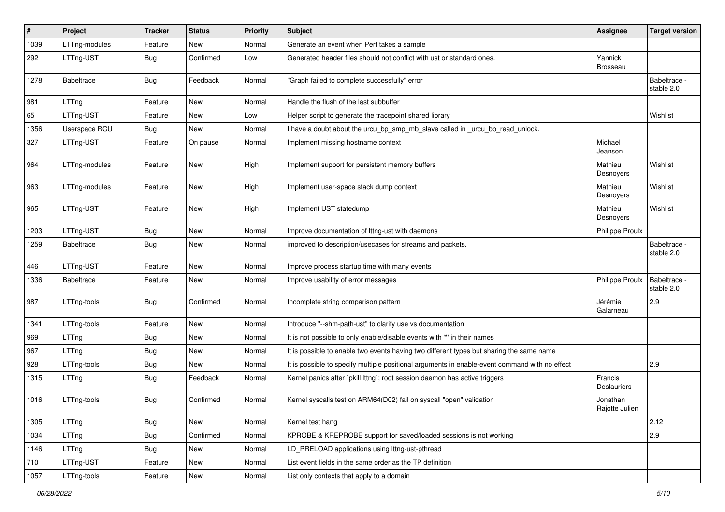| #    | Project           | <b>Tracker</b> | <b>Status</b> | <b>Priority</b> | Subject                                                                                        | Assignee                      | <b>Target version</b>      |
|------|-------------------|----------------|---------------|-----------------|------------------------------------------------------------------------------------------------|-------------------------------|----------------------------|
| 1039 | LTTng-modules     | Feature        | New           | Normal          | Generate an event when Perf takes a sample                                                     |                               |                            |
| 292  | LTTng-UST         | <b>Bug</b>     | Confirmed     | Low             | Generated header files should not conflict with ust or standard ones.                          | Yannick<br><b>Brosseau</b>    |                            |
| 1278 | <b>Babeltrace</b> | Bug            | Feedback      | Normal          | "Graph failed to complete successfully" error                                                  |                               | Babeltrace -<br>stable 2.0 |
| 981  | LTTng             | Feature        | New           | Normal          | Handle the flush of the last subbuffer                                                         |                               |                            |
| 65   | LTTng-UST         | Feature        | New           | Low             | Helper script to generate the tracepoint shared library                                        |                               | Wishlist                   |
| 1356 | Userspace RCU     | <b>Bug</b>     | New           | Normal          | I have a doubt about the urcu bp smp mb slave called in urcu bp read unlock.                   |                               |                            |
| 327  | LTTng-UST         | Feature        | On pause      | Normal          | Implement missing hostname context                                                             | Michael<br>Jeanson            |                            |
| 964  | LTTng-modules     | Feature        | New           | High            | Implement support for persistent memory buffers                                                | Mathieu<br>Desnoyers          | Wishlist                   |
| 963  | LTTng-modules     | Feature        | New           | High            | Implement user-space stack dump context                                                        | Mathieu<br>Desnoyers          | Wishlist                   |
| 965  | LTTng-UST         | Feature        | New           | High            | Implement UST statedump                                                                        | Mathieu<br>Desnoyers          | Wishlist                   |
| 1203 | LTTng-UST         | <b>Bug</b>     | New           | Normal          | Improve documentation of Ittng-ust with daemons                                                | Philippe Proulx               |                            |
| 1259 | <b>Babeltrace</b> | <b>Bug</b>     | New           | Normal          | improved to description/usecases for streams and packets.                                      |                               | Babeltrace -<br>stable 2.0 |
| 446  | LTTng-UST         | Feature        | New           | Normal          | Improve process startup time with many events                                                  |                               |                            |
| 1336 | <b>Babeltrace</b> | Feature        | New           | Normal          | Improve usability of error messages                                                            | <b>Philippe Proulx</b>        | Babeltrace -<br>stable 2.0 |
| 987  | LTTng-tools       | Bug            | Confirmed     | Normal          | Incomplete string comparison pattern                                                           | Jérémie<br>Galarneau          | 2.9                        |
| 1341 | LTTng-tools       | Feature        | New           | Normal          | Introduce "--shm-path-ust" to clarify use vs documentation                                     |                               |                            |
| 969  | LTTng             | <b>Bug</b>     | New           | Normal          | It is not possible to only enable/disable events with "*' in their names                       |                               |                            |
| 967  | LTTng             | Bug            | New           | Normal          | It is possible to enable two events having two different types but sharing the same name       |                               |                            |
| 928  | LTTng-tools       | Bug            | New           | Normal          | It is possible to specify multiple positional arguments in enable-event command with no effect |                               | 2.9                        |
| 1315 | LTTng             | <b>Bug</b>     | Feedback      | Normal          | Kernel panics after `pkill lttng`; root session daemon has active triggers                     | Francis<br><b>Deslauriers</b> |                            |
| 1016 | LTTng-tools       | Bug            | Confirmed     | Normal          | Kernel syscalls test on ARM64(D02) fail on syscall "open" validation                           | Jonathan<br>Rajotte Julien    |                            |
| 1305 | LTTng             | Bug            | New           | Normal          | Kernel test hang                                                                               |                               | 2.12                       |
| 1034 | LTTng             | Bug            | Confirmed     | Normal          | KPROBE & KREPROBE support for saved/loaded sessions is not working                             |                               | 2.9                        |
| 1146 | LTTng             | Bug            | New           | Normal          | LD_PRELOAD applications using lttng-ust-pthread                                                |                               |                            |
| 710  | LTTng-UST         | Feature        | New           | Normal          | List event fields in the same order as the TP definition                                       |                               |                            |
| 1057 | LTTng-tools       | Feature        | New           | Normal          | List only contexts that apply to a domain                                                      |                               |                            |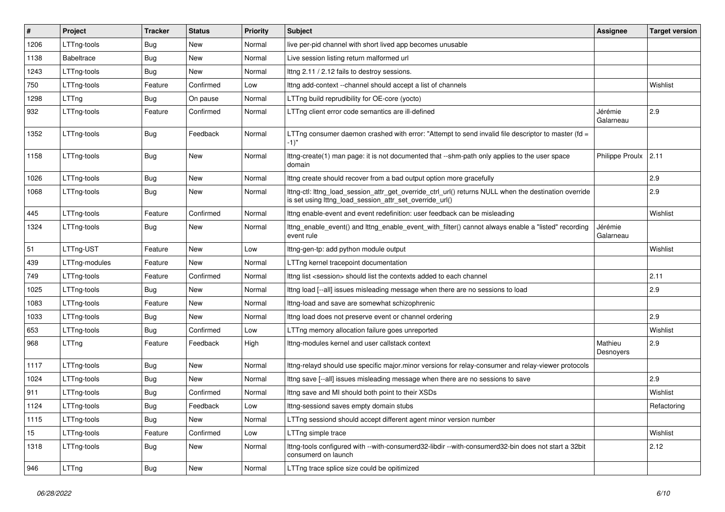| $\#$ | Project           | <b>Tracker</b> | <b>Status</b> | <b>Priority</b> | <b>Subject</b>                                                                                                                                                   | <b>Assignee</b>      | <b>Target version</b> |
|------|-------------------|----------------|---------------|-----------------|------------------------------------------------------------------------------------------------------------------------------------------------------------------|----------------------|-----------------------|
| 1206 | LTTng-tools       | Bug            | New           | Normal          | live per-pid channel with short lived app becomes unusable                                                                                                       |                      |                       |
| 1138 | <b>Babeltrace</b> | Bug            | New           | Normal          | Live session listing return malformed url                                                                                                                        |                      |                       |
| 1243 | LTTng-tools       | Bug            | New           | Normal          | Ittng 2.11 / 2.12 fails to destroy sessions.                                                                                                                     |                      |                       |
| 750  | LTTng-tools       | Feature        | Confirmed     | Low             | Ittng add-context --channel should accept a list of channels                                                                                                     |                      | Wishlist              |
| 1298 | LTTng             | <b>Bug</b>     | On pause      | Normal          | LTTng build reprudibility for OE-core (yocto)                                                                                                                    |                      |                       |
| 932  | LTTng-tools       | Feature        | Confirmed     | Normal          | LTTng client error code semantics are ill-defined                                                                                                                | Jérémie<br>Galarneau | 2.9                   |
| 1352 | LTTng-tools       | Bug            | Feedback      | Normal          | LTTng consumer daemon crashed with error: "Attempt to send invalid file descriptor to master (fd =<br>$-1$ "                                                     |                      |                       |
| 1158 | LTTng-tools       | <b>Bug</b>     | New           | Normal          | Ittng-create(1) man page: it is not documented that --shm-path only applies to the user space<br>domain                                                          | Philippe Proulx 2.11 |                       |
| 1026 | LTTng-tools       | <b>Bug</b>     | New           | Normal          | Ittng create should recover from a bad output option more gracefully                                                                                             |                      | 2.9                   |
| 1068 | LTTng-tools       | <b>Bug</b>     | New           | Normal          | Ittng-ctl: Ittng_load_session_attr_get_override_ctrl_url() returns NULL when the destination override<br>is set using lttng_load_session_attr_set_override_url() |                      | 2.9                   |
| 445  | LTTng-tools       | Feature        | Confirmed     | Normal          | Ittng enable-event and event redefinition: user feedback can be misleading                                                                                       |                      | Wishlist              |
| 1324 | LTTng-tools       | Bug            | New           | Normal          | Ittng_enable_event() and Ittng_enable_event_with_filter() cannot always enable a "listed" recording<br>event rule                                                | Jérémie<br>Galarneau |                       |
| 51   | LTTng-UST         | Feature        | New           | Low             | Ittng-gen-tp: add python module output                                                                                                                           |                      | Wishlist              |
| 439  | LTTng-modules     | Feature        | New           | Normal          | LTTng kernel tracepoint documentation                                                                                                                            |                      |                       |
| 749  | LTTng-tools       | Feature        | Confirmed     | Normal          | Ittng list <session> should list the contexts added to each channel</session>                                                                                    |                      | 2.11                  |
| 1025 | LTTng-tools       | Bug            | New           | Normal          | Ittng load [--all] issues misleading message when there are no sessions to load                                                                                  |                      | 2.9                   |
| 1083 | LTTng-tools       | Feature        | New           | Normal          | Ittng-load and save are somewhat schizophrenic                                                                                                                   |                      |                       |
| 1033 | LTTng-tools       | Bug            | New           | Normal          | Ittng load does not preserve event or channel ordering                                                                                                           |                      | 2.9                   |
| 653  | LTTng-tools       | Bug            | Confirmed     | Low             | LTTng memory allocation failure goes unreported                                                                                                                  |                      | Wishlist              |
| 968  | LTTng             | Feature        | Feedback      | High            | Ittng-modules kernel and user callstack context                                                                                                                  | Mathieu<br>Desnoyers | 2.9                   |
| 1117 | LTTng-tools       | Bug            | New           | Normal          | Ittng-relayd should use specific major.minor versions for relay-consumer and relay-viewer protocols                                                              |                      |                       |
| 1024 | LTTng-tools       | Bug            | New           | Normal          | Ittng save [--all] issues misleading message when there are no sessions to save                                                                                  |                      | 2.9                   |
| 911  | LTTng-tools       | Bug            | Confirmed     | Normal          | Ittng save and MI should both point to their XSDs                                                                                                                |                      | Wishlist              |
| 1124 | LTTng-tools       | Bug            | Feedback      | Low             | Ittng-sessiond saves empty domain stubs                                                                                                                          |                      | Refactoring           |
| 1115 | LTTng-tools       | <b>Bug</b>     | New           | Normal          | LTTng sessiond should accept different agent minor version number                                                                                                |                      |                       |
| 15   | LTTng-tools       | Feature        | Confirmed     | Low             | LTTng simple trace                                                                                                                                               |                      | Wishlist              |
| 1318 | LTTng-tools       | <b>Bug</b>     | New           | Normal          | Ittng-tools configured with --with-consumerd32-libdir --with-consumerd32-bin does not start a 32bit<br>consumerd on launch                                       |                      | 2.12                  |
| 946  | LTTng             | <b>Bug</b>     | New           | Normal          | LTTng trace splice size could be opitimized                                                                                                                      |                      |                       |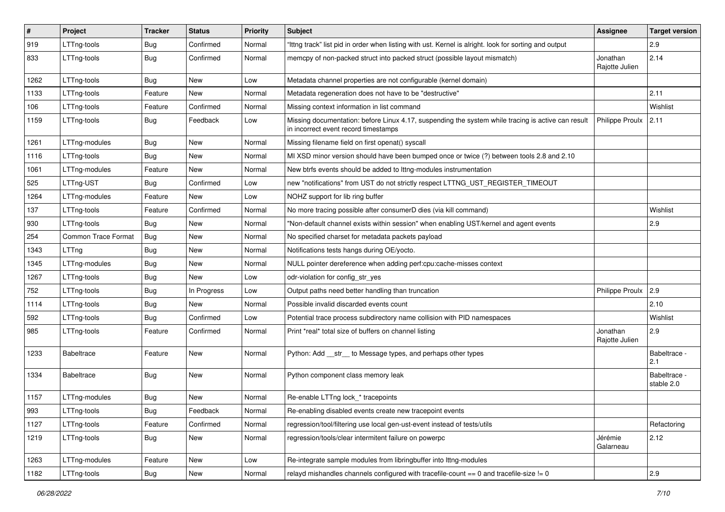| #    | Project             | <b>Tracker</b> | <b>Status</b> | Priority | Subject                                                                                                                                    | <b>Assignee</b>            | <b>Target version</b>      |
|------|---------------------|----------------|---------------|----------|--------------------------------------------------------------------------------------------------------------------------------------------|----------------------------|----------------------------|
| 919  | LTTng-tools         | <b>Bug</b>     | Confirmed     | Normal   | "Ittng track" list pid in order when listing with ust. Kernel is alright. look for sorting and output                                      |                            | 2.9                        |
| 833  | LTTng-tools         | <b>Bug</b>     | Confirmed     | Normal   | memcpy of non-packed struct into packed struct (possible layout mismatch)                                                                  | Jonathan<br>Rajotte Julien | 2.14                       |
| 1262 | LTTng-tools         | <b>Bug</b>     | New           | Low      | Metadata channel properties are not configurable (kernel domain)                                                                           |                            |                            |
| 1133 | LTTng-tools         | Feature        | New           | Normal   | Metadata regeneration does not have to be "destructive"                                                                                    |                            | 2.11                       |
| 106  | LTTng-tools         | Feature        | Confirmed     | Normal   | Missing context information in list command                                                                                                |                            | Wishlist                   |
| 1159 | LTTng-tools         | Bug            | Feedback      | Low      | Missing documentation: before Linux 4.17, suspending the system while tracing is active can result<br>in incorrect event record timestamps | Philippe Proulx            | 2.11                       |
| 1261 | LTTng-modules       | Bug            | New           | Normal   | Missing filename field on first openat() syscall                                                                                           |                            |                            |
| 1116 | LTTng-tools         | <b>Bug</b>     | <b>New</b>    | Normal   | MI XSD minor version should have been bumped once or twice (?) between tools 2.8 and 2.10                                                  |                            |                            |
| 1061 | LTTng-modules       | Feature        | New           | Normal   | New btrfs events should be added to lttng-modules instrumentation                                                                          |                            |                            |
| 525  | LTTng-UST           | <b>Bug</b>     | Confirmed     | Low      | new "notifications" from UST do not strictly respect LTTNG_UST_REGISTER_TIMEOUT                                                            |                            |                            |
| 1264 | LTTng-modules       | Feature        | New           | Low      | NOHZ support for lib ring buffer                                                                                                           |                            |                            |
| 137  | LTTng-tools         | Feature        | Confirmed     | Normal   | No more tracing possible after consumerD dies (via kill command)                                                                           |                            | Wishlist                   |
| 930  | LTTng-tools         | <b>Bug</b>     | New           | Normal   | "Non-default channel exists within session" when enabling UST/kernel and agent events                                                      |                            | 2.9                        |
| 254  | Common Trace Format | <b>Bug</b>     | New           | Normal   | No specified charset for metadata packets payload                                                                                          |                            |                            |
| 1343 | LTTng               | <b>Bug</b>     | New           | Normal   | Notifications tests hangs during OE/yocto.                                                                                                 |                            |                            |
| 1345 | LTTng-modules       | <b>Bug</b>     | New           | Normal   | NULL pointer dereference when adding perf:cpu:cache-misses context                                                                         |                            |                            |
| 1267 | LTTng-tools         | <b>Bug</b>     | New           | Low      | odr-violation for config_str_yes                                                                                                           |                            |                            |
| 752  | LTTng-tools         | <b>Bug</b>     | In Progress   | Low      | Output paths need better handling than truncation                                                                                          | Philippe Proulx            | 2.9                        |
| 1114 | LTTng-tools         | <b>Bug</b>     | New           | Normal   | Possible invalid discarded events count                                                                                                    |                            | 2.10                       |
| 592  | LTTng-tools         | Bug            | Confirmed     | Low      | Potential trace process subdirectory name collision with PID namespaces                                                                    |                            | Wishlist                   |
| 985  | LTTng-tools         | Feature        | Confirmed     | Normal   | Print *real* total size of buffers on channel listing                                                                                      | Jonathan<br>Rajotte Julien | 2.9                        |
| 1233 | <b>Babeltrace</b>   | Feature        | New           | Normal   | Python: Add __str__ to Message types, and perhaps other types                                                                              |                            | Babeltrace -<br>2.1        |
| 1334 | <b>Babeltrace</b>   | Bug            | New           | Normal   | Python component class memory leak                                                                                                         |                            | Babeltrace -<br>stable 2.0 |
| 1157 | LTTng-modules       | <b>Bug</b>     | New           | Normal   | Re-enable LTTng lock_* tracepoints                                                                                                         |                            |                            |
| 993  | LTTng-tools         | <b>Bug</b>     | Feedback      | Normal   | Re-enabling disabled events create new tracepoint events                                                                                   |                            |                            |
| 1127 | LTTng-tools         | Feature        | Confirmed     | Normal   | regression/tool/filtering use local gen-ust-event instead of tests/utils                                                                   |                            | Refactoring                |
| 1219 | LTTng-tools         | <b>Bug</b>     | New           | Normal   | regression/tools/clear intermitent failure on powerpc                                                                                      | Jérémie<br>Galarneau       | 2.12                       |
| 1263 | LTTng-modules       | Feature        | New           | Low      | Re-integrate sample modules from libringbuffer into Ittng-modules                                                                          |                            |                            |
| 1182 | LTTng-tools         | Bug            | New           | Normal   | relayd mishandles channels configured with tracefile-count $== 0$ and tracefile-size $!= 0$                                                |                            | 2.9                        |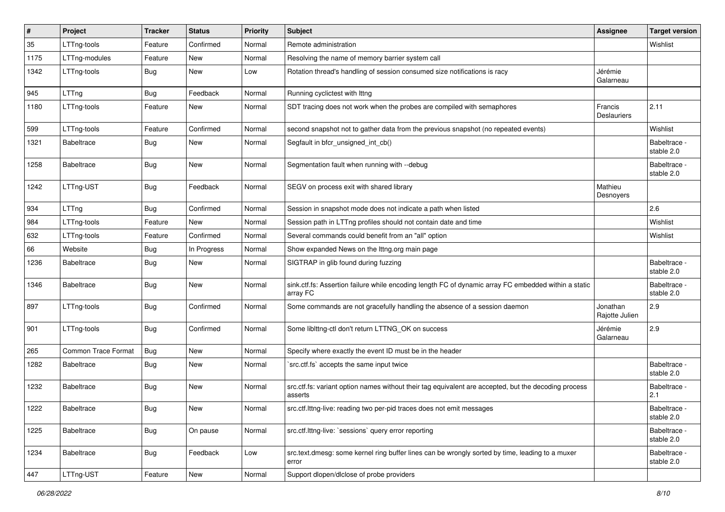| $\sharp$ | Project                    | <b>Tracker</b> | <b>Status</b> | <b>Priority</b> | Subject                                                                                                          | <b>Assignee</b>               | <b>Target version</b>      |
|----------|----------------------------|----------------|---------------|-----------------|------------------------------------------------------------------------------------------------------------------|-------------------------------|----------------------------|
| 35       | LTTng-tools                | Feature        | Confirmed     | Normal          | Remote administration                                                                                            |                               | Wishlist                   |
| 1175     | LTTng-modules              | Feature        | <b>New</b>    | Normal          | Resolving the name of memory barrier system call                                                                 |                               |                            |
| 1342     | LTTng-tools                | <b>Bug</b>     | New           | Low             | Rotation thread's handling of session consumed size notifications is racy                                        | Jérémie<br>Galarneau          |                            |
| 945      | LTTng                      | <b>Bug</b>     | Feedback      | Normal          | Running cyclictest with Ittng                                                                                    |                               |                            |
| 1180     | LTTng-tools                | Feature        | New           | Normal          | SDT tracing does not work when the probes are compiled with semaphores                                           | Francis<br><b>Deslauriers</b> | 2.11                       |
| 599      | LTTng-tools                | Feature        | Confirmed     | Normal          | second snapshot not to gather data from the previous snapshot (no repeated events)                               |                               | Wishlist                   |
| 1321     | <b>Babeltrace</b>          | <b>Bug</b>     | New           | Normal          | Segfault in bfcr_unsigned_int_cb()                                                                               |                               | Babeltrace -<br>stable 2.0 |
| 1258     | <b>Babeltrace</b>          | <b>Bug</b>     | <b>New</b>    | Normal          | Segmentation fault when running with --debug                                                                     |                               | Babeltrace -<br>stable 2.0 |
| 1242     | LTTng-UST                  | <b>Bug</b>     | Feedback      | Normal          | SEGV on process exit with shared library                                                                         | Mathieu<br>Desnoyers          |                            |
| 934      | LTTng                      | <b>Bug</b>     | Confirmed     | Normal          | Session in snapshot mode does not indicate a path when listed                                                    |                               | 2.6                        |
| 984      | LTTng-tools                | Feature        | New           | Normal          | Session path in LTTng profiles should not contain date and time                                                  |                               | Wishlist                   |
| 632      | LTTng-tools                | Feature        | Confirmed     | Normal          | Several commands could benefit from an "all" option                                                              |                               | Wishlist                   |
| 66       | Website                    | <b>Bug</b>     | In Progress   | Normal          | Show expanded News on the lttng.org main page                                                                    |                               |                            |
| 1236     | <b>Babeltrace</b>          | <b>Bug</b>     | New           | Normal          | SIGTRAP in glib found during fuzzing                                                                             |                               | Babeltrace -<br>stable 2.0 |
| 1346     | <b>Babeltrace</b>          | <b>Bug</b>     | New           | Normal          | sink.ctf.fs: Assertion failure while encoding length FC of dynamic array FC embedded within a static<br>array FC |                               | Babeltrace -<br>stable 2.0 |
| 897      | LTTng-tools                | Bug            | Confirmed     | Normal          | Some commands are not gracefully handling the absence of a session daemon                                        | Jonathan<br>Rajotte Julien    | 2.9                        |
| 901      | LTTng-tools                | Bug            | Confirmed     | Normal          | Some liblttng-ctl don't return LTTNG_OK on success                                                               | Jérémie<br>Galarneau          | 2.9                        |
| 265      | <b>Common Trace Format</b> | <b>Bug</b>     | <b>New</b>    | Normal          | Specify where exactly the event ID must be in the header                                                         |                               |                            |
| 1282     | <b>Babeltrace</b>          | <b>Bug</b>     | New           | Normal          | `src.ctf.fs` accepts the same input twice                                                                        |                               | Babeltrace -<br>stable 2.0 |
| 1232     | <b>Babeltrace</b>          | <b>Bug</b>     | New           | Normal          | src.ctf.fs: variant option names without their tag equivalent are accepted, but the decoding process<br>asserts  |                               | Babeltrace -<br>2.1        |
| 1222     | Babeltrace                 | Bug            | New           | Normal          | src.ctf.lttng-live: reading two per-pid traces does not emit messages                                            |                               | Babeltrace -<br>stable 2.0 |
| 1225     | Babeltrace                 | Bug            | On pause      | Normal          | src.ctf.lttng-live: `sessions` query error reporting                                                             |                               | Babeltrace -<br>stable 2.0 |
| 1234     | Babeltrace                 | i Bug          | Feedback      | Low             | src.text.dmesg: some kernel ring buffer lines can be wrongly sorted by time, leading to a muxer<br>error         |                               | Babeltrace -<br>stable 2.0 |
| 447      | LTTng-UST                  | Feature        | New           | Normal          | Support dlopen/dlclose of probe providers                                                                        |                               |                            |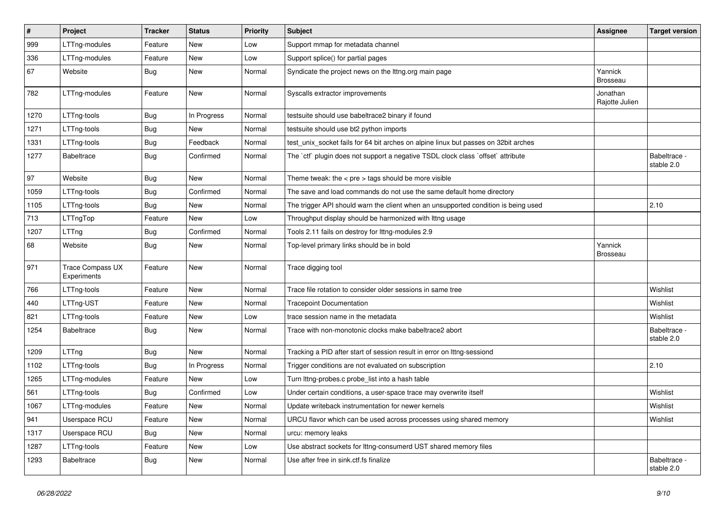| #    | Project                         | <b>Tracker</b> | <b>Status</b> | <b>Priority</b> | Subject                                                                             | Assignee                   | <b>Target version</b>      |
|------|---------------------------------|----------------|---------------|-----------------|-------------------------------------------------------------------------------------|----------------------------|----------------------------|
| 999  | LTTng-modules                   | Feature        | <b>New</b>    | Low             | Support mmap for metadata channel                                                   |                            |                            |
| 336  | LTTng-modules                   | Feature        | <b>New</b>    | Low             | Support splice() for partial pages                                                  |                            |                            |
| 67   | Website                         | <b>Bug</b>     | New           | Normal          | Syndicate the project news on the lttng.org main page                               | Yannick<br><b>Brosseau</b> |                            |
| 782  | LTTng-modules                   | Feature        | New           | Normal          | Syscalls extractor improvements                                                     | Jonathan<br>Rajotte Julien |                            |
| 1270 | LTTng-tools                     | <b>Bug</b>     | In Progress   | Normal          | testsuite should use babeltrace2 binary if found                                    |                            |                            |
| 1271 | LTTng-tools                     | <b>Bug</b>     | New           | Normal          | testsuite should use bt2 python imports                                             |                            |                            |
| 1331 | LTTng-tools                     | <b>Bug</b>     | Feedback      | Normal          | test_unix_socket fails for 64 bit arches on alpine linux but passes on 32bit arches |                            |                            |
| 1277 | <b>Babeltrace</b>               | <b>Bug</b>     | Confirmed     | Normal          | The `ctf` plugin does not support a negative TSDL clock class `offset` attribute    |                            | Babeltrace -<br>stable 2.0 |
| 97   | Website                         | Bug            | New           | Normal          | Theme tweak: the $<$ pre $>$ tags should be more visible                            |                            |                            |
| 1059 | LTTng-tools                     | <b>Bug</b>     | Confirmed     | Normal          | The save and load commands do not use the same default home directory               |                            |                            |
| 1105 | LTTng-tools                     | <b>Bug</b>     | New           | Normal          | The trigger API should warn the client when an unsupported condition is being used  |                            | 2.10                       |
| 713  | LTTngTop                        | Feature        | New           | Low             | Throughput display should be harmonized with lttng usage                            |                            |                            |
| 1207 | LTTng                           | <b>Bug</b>     | Confirmed     | Normal          | Tools 2.11 fails on destroy for lttng-modules 2.9                                   |                            |                            |
| 68   | Website                         | <b>Bug</b>     | New           | Normal          | Top-level primary links should be in bold                                           | Yannick<br><b>Brosseau</b> |                            |
| 971  | Trace Compass UX<br>Experiments | Feature        | New           | Normal          | Trace digging tool                                                                  |                            |                            |
| 766  | LTTng-tools                     | Feature        | New           | Normal          | Trace file rotation to consider older sessions in same tree                         |                            | Wishlist                   |
| 440  | LTTng-UST                       | Feature        | New           | Normal          | <b>Tracepoint Documentation</b>                                                     |                            | Wishlist                   |
| 821  | LTTng-tools                     | Feature        | New           | Low             | trace session name in the metadata                                                  |                            | Wishlist                   |
| 1254 | <b>Babeltrace</b>               | Bug            | New           | Normal          | Trace with non-monotonic clocks make babeltrace2 abort                              |                            | Babeltrace -<br>stable 2.0 |
| 1209 | LTTng                           | <b>Bug</b>     | New           | Normal          | Tracking a PID after start of session result in error on lttng-sessiond             |                            |                            |
| 1102 | LTTng-tools                     | <b>Bug</b>     | In Progress   | Normal          | Trigger conditions are not evaluated on subscription                                |                            | 2.10                       |
| 1265 | LTTng-modules                   | Feature        | New           | Low             | Turn lttng-probes.c probe_list into a hash table                                    |                            |                            |
| 561  | LTTng-tools                     | <b>Bug</b>     | Confirmed     | Low             | Under certain conditions, a user-space trace may overwrite itself                   |                            | Wishlist                   |
| 1067 | LTTng-modules                   | Feature        | New           | Normal          | Update writeback instrumentation for newer kernels                                  |                            | Wishlist                   |
| 941  | Userspace RCU                   | Feature        | New           | Normal          | URCU flavor which can be used across processes using shared memory                  |                            | Wishlist                   |
| 1317 | Userspace RCU                   | <b>Bug</b>     | New           | Normal          | urcu: memory leaks                                                                  |                            |                            |
| 1287 | LTTng-tools                     | Feature        | New           | Low             | Use abstract sockets for lttng-consumerd UST shared memory files                    |                            |                            |
| 1293 | Babeltrace                      | Bug            | New           | Normal          | Use after free in sink.ctf.fs finalize                                              |                            | Babeltrace -<br>stable 2.0 |